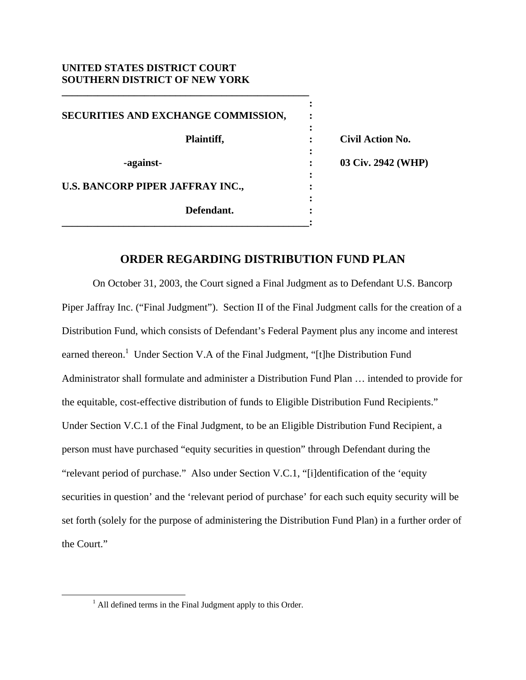## **UNITED STATES DISTRICT COURT SOUTHERN DISTRICT OF NEW YORK**

*x*  $\mathbf{r}$  :  $\mathbf{r}$   $\mathbf{r}$   $\mathbf{r}$   $\mathbf{r}$   $\mathbf{r}$   $\mathbf{r}$   $\mathbf{r}$   $\mathbf{r}$   $\mathbf{r}$   $\mathbf{r}$   $\mathbf{r}$   $\mathbf{r}$   $\mathbf{r}$   $\mathbf{r}$   $\mathbf{r}$   $\mathbf{r}$   $\mathbf{r}$   $\mathbf{r}$   $\mathbf{r}$   $\mathbf{r}$   $\mathbf{r}$   $\mathbf{r}$   $\mathbf{r}$ **SECURITIES AND EXCHANGE COMMISSION, :**  *x*  $\mathbf{r}$  :  $\mathbf{r}$   $\mathbf{r}$   $\mathbf{r}$   $\mathbf{r}$   $\mathbf{r}$   $\mathbf{r}$   $\mathbf{r}$   $\mathbf{r}$   $\mathbf{r}$   $\mathbf{r}$   $\mathbf{r}$   $\mathbf{r}$   $\mathbf{r}$   $\mathbf{r}$   $\mathbf{r}$   $\mathbf{r}$   $\mathbf{r}$   $\mathbf{r}$   $\mathbf{r}$   $\mathbf{r}$   $\mathbf{r}$   $\mathbf{r}$   $\mathbf{r}$  **Plaintiff, : Civil Action No.**  *x*  $\mathbf{r}$  :  $\mathbf{r}$   $\mathbf{r}$   $\mathbf{r}$   $\mathbf{r}$   $\mathbf{r}$   $\mathbf{r}$   $\mathbf{r}$   $\mathbf{r}$   $\mathbf{r}$   $\mathbf{r}$   $\mathbf{r}$   $\mathbf{r}$   $\mathbf{r}$   $\mathbf{r}$   $\mathbf{r}$   $\mathbf{r}$   $\mathbf{r}$   $\mathbf{r}$   $\mathbf{r}$   $\mathbf{r}$   $\mathbf{r}$   $\mathbf{r}$   $\mathbf{r}$  **-against- : 03 Civ. 2942 (WHP)**  *x*  $\mathbf{r}$  :  $\mathbf{r}$   $\mathbf{r}$   $\mathbf{r}$   $\mathbf{r}$   $\mathbf{r}$   $\mathbf{r}$   $\mathbf{r}$   $\mathbf{r}$   $\mathbf{r}$   $\mathbf{r}$   $\mathbf{r}$   $\mathbf{r}$   $\mathbf{r}$   $\mathbf{r}$   $\mathbf{r}$   $\mathbf{r}$   $\mathbf{r}$   $\mathbf{r}$   $\mathbf{r}$   $\mathbf{r}$   $\mathbf{r}$   $\mathbf{r}$   $\mathbf{r}$ **U.S. BANCORP PIPER JAFFRAY INC.,**  $\qquad \qquad$ **:** *x*  $\mathbf{r}$  :  $\mathbf{r}$  is the set of  $\mathbf{r}$  is the set of  $\mathbf{r}$  is the set of  $\mathbf{r}$  is the set of  $\mathbf{r}$  **Defendant. : \_\_\_\_\_\_\_\_\_\_\_\_\_\_\_\_\_\_\_\_\_\_\_\_\_\_\_\_\_\_\_\_\_\_\_\_\_\_\_\_\_\_\_\_\_\_\_\_:**

**\_\_\_\_\_\_\_\_\_\_\_\_\_\_\_\_\_\_\_\_\_\_\_\_\_\_\_\_\_\_\_\_\_\_\_\_\_\_\_\_\_\_\_\_\_\_\_\_** 

## **ORDER REGARDING DISTRIBUTION FUND PLAN**

 On October 31, 2003, the Court signed a Final Judgment as to Defendant U.S. Bancorp Piper Jaffray Inc. ("Final Judgment"). Section II of the Final Judgment calls for the creation of a Distribution Fund, which consists of Defendant's Federal Payment plus any income and interest earned thereon.<sup>1</sup> Under Section V.A of the Final Judgment, "[t]he Distribution Fund Administrator shall formulate and administer a Distribution Fund Plan … intended to provide for the equitable, cost-effective distribution of funds to Eligible Distribution Fund Recipients." Under Section V.C.1 of the Final Judgment, to be an Eligible Distribution Fund Recipient, a person must have purchased "equity securities in question" through Defendant during the "relevant period of purchase." Also under Section V.C.1, "[i]dentification of the 'equity securities in question' and the 'relevant period of purchase' for each such equity security will be set forth (solely for the purpose of administering the Distribution Fund Plan) in a further order of the Court."

 $\frac{1}{1}$  $<sup>1</sup>$  All defined terms in the Final Judgment apply to this Order.</sup>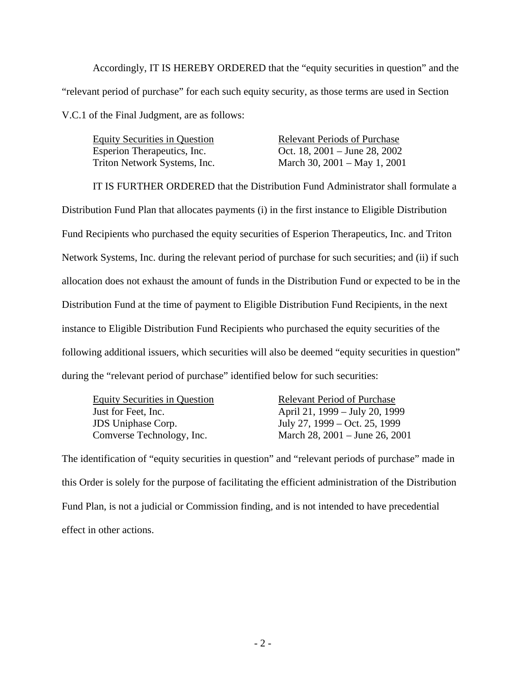Accordingly, IT IS HEREBY ORDERED that the "equity securities in question" and the "relevant period of purchase" for each such equity security, as those terms are used in Section V.C.1 of the Final Judgment, are as follows:

Equity Securities in Question Relevant Periods of Purchase Esperion Therapeutics, Inc.  $\qquad \qquad$  Oct. 18, 2001 – June 28, 2002 Triton Network Systems, Inc. March 30, 2001 – May 1, 2001

IT IS FURTHER ORDERED that the Distribution Fund Administrator shall formulate a Distribution Fund Plan that allocates payments (i) in the first instance to Eligible Distribution Fund Recipients who purchased the equity securities of Esperion Therapeutics, Inc. and Triton Network Systems, Inc. during the relevant period of purchase for such securities; and (ii) if such allocation does not exhaust the amount of funds in the Distribution Fund or expected to be in the Distribution Fund at the time of payment to Eligible Distribution Fund Recipients, in the next instance to Eligible Distribution Fund Recipients who purchased the equity securities of the following additional issuers, which securities will also be deemed "equity securities in question" during the "relevant period of purchase" identified below for such securities:

Equity Securities in Question Relevant Period of Purchase

Just for Feet, Inc. April 21, 1999 – July 20, 1999 JDS Uniphase Corp. July 27, 1999 – Oct. 25, 1999 Comverse Technology, Inc. March 28, 2001 – June 26, 2001

The identification of "equity securities in question" and "relevant periods of purchase" made in this Order is solely for the purpose of facilitating the efficient administration of the Distribution Fund Plan, is not a judicial or Commission finding, and is not intended to have precedential effect in other actions.